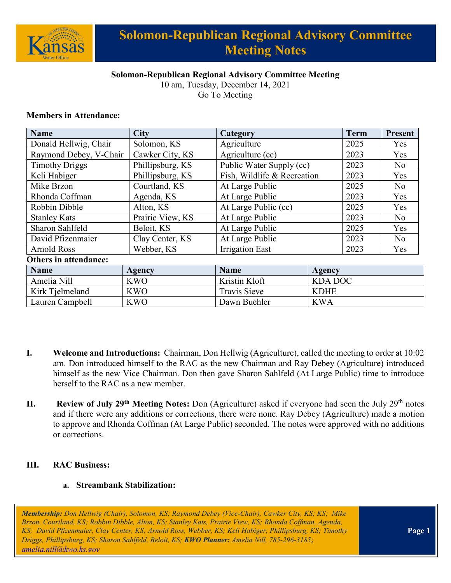

# **Solomon-Republican Regional Advisory Committee Meeting Notes**

## **Solomon-Republican Regional Advisory Committee Meeting**

10 am, Tuesday, December 14, 2021 Go To Meeting

#### **Members in Attendance:**

| <b>Name</b>                  | <b>City</b>      | Category                    |                | <b>Term</b> | <b>Present</b> |
|------------------------------|------------------|-----------------------------|----------------|-------------|----------------|
| Donald Hellwig, Chair        | Solomon, KS      | Agriculture                 |                | 2025        | Yes            |
| Raymond Debey, V-Chair       | Cawker City, KS  | Agriculture (cc)            |                | 2023        | Yes            |
| <b>Timothy Driggs</b>        | Phillipsburg, KS | Public Water Supply (cc)    |                | 2023        | N <sub>o</sub> |
| Keli Habiger                 | Phillipsburg, KS | Fish, Wildlife & Recreation |                | 2023        | Yes            |
| Mike Brzon                   | Courtland, KS    | At Large Public             |                | 2025        | No             |
| Rhonda Coffman               | Agenda, KS       | At Large Public             |                | 2023        | Yes            |
| Robbin Dibble                | Alton, KS        | At Large Public (cc)        |                | 2025        | Yes            |
| <b>Stanley Kats</b>          | Prairie View, KS | At Large Public             |                | 2023        | N <sub>o</sub> |
| Sharon Sahlfeld              | Beloit, KS       | At Large Public             |                | 2025        | Yes            |
| David Pfizenmaier            | Clay Center, KS  | At Large Public             |                | 2023        | N <sub>o</sub> |
| <b>Arnold Ross</b>           | Webber, KS       | <b>Irrigation East</b>      |                | 2023        | Yes            |
| <b>Others in attendance:</b> |                  |                             |                |             |                |
| <b>Name</b>                  | <b>Agency</b>    | <b>Name</b>                 | <b>Agency</b>  |             |                |
| Amelia Nill                  | <b>KWO</b>       | Kristin Kloft               | <b>KDA DOC</b> |             |                |
| Kirk Tjelmeland              | <b>KWO</b>       | Travis Sieve                | <b>KDHE</b>    |             |                |
| Lauren Campbell              | <b>KWO</b>       | Dawn Buehler                | <b>KWA</b>     |             |                |

- **I. Welcome and Introductions:** Chairman, Don Hellwig (Agriculture), called the meeting to order at 10:02 am. Don introduced himself to the RAC as the new Chairman and Ray Debey (Agriculture) introduced himself as the new Vice Chairman. Don then gave Sharon Sahlfeld (At Large Public) time to introduce herself to the RAC as a new member.
- **II.** Review of July 29<sup>th</sup> Meeting Notes: Don (Agriculture) asked if everyone had seen the July 29<sup>th</sup> notes and if there were any additions or corrections, there were none. Ray Debey (Agriculture) made a motion to approve and Rhonda Coffman (At Large Public) seconded. The notes were approved with no additions or corrections.

#### **III. RAC Business:**

#### **a. Streambank Stabilization:**

*Membership: Don Hellwig (Chair), Solomon, KS; Raymond Debey (Vice-Chair), Cawker City, KS; KS; Mike Brzon, Courtland, KS; Robbin Dibble, Alton, KS; Stanley Kats, Prairie View, KS; Rhonda Coffman, Agenda, KS; David Pfizenmaier, Clay Center, KS; Arnold Ross, Webber, KS; Keli Habiger, Phillipsburg, KS; Timothy Driggs, Phillipsburg, KS; Sharon Sahlfeld, Beloit, KS; KWO Planner: Amelia Nill, 785-296-3185*; *[amelia.nill@kwo.ks.gov](mailto:amelia.nill@kwo.ks.gov)*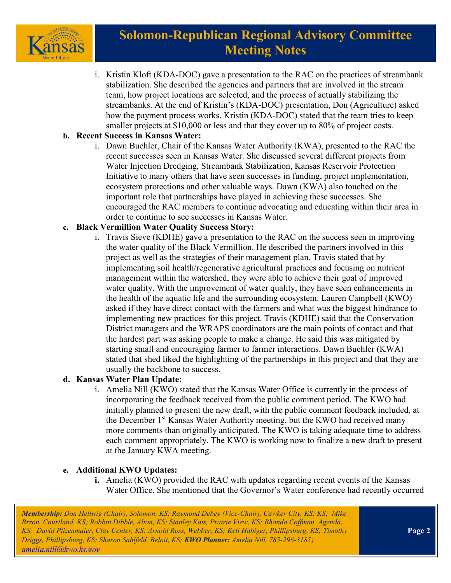

# **Solomon-Republican Regional Advisory Committee Meeting Notes**

i. Kristin Kloft (KDA-DOC) gave a presentation to the RAC on the practices of streambank stabilization. She described the agencies and partners that are involved in the stream team, how project locations are selected, and the process of actually stabilizing the streambanks. At the end of Kristin's (KDA-DOC) presentation, Don (Agriculture) asked how the payment process works. Kristin (KDA-DOC) stated that the team tries to keep smaller projects at \$10,000 or less and that they cover up to 80% of project costs.

### **b. Recent Success in Kansas Water:**

i. Dawn Buehler, Chair of the Kansas Water Authority (KWA), presented to the RAC the recent successes seen in Kansas Water. She discussed several different projects from Water Injection Dredging, Streambank Stabilization, Kansas Reservoir Protection Initiative to many others that have seen successes in funding, project implementation, ecosystem protections and other valuable ways. Dawn (KWA) also touched on the important role that partnerships have played in achieving these successes. She encouraged the RAC members to continue advocating and educating within their area in order to continue to see successes in Kansas Water.

## **c. Black Vermillion Water Quality Success Story:**

i. Travis Sieve (KDHE) gave a presentation to the RAC on the success seen in improving the water quality of the Black Vermillion. He described the partners involved in this project as well as the strategies of their management plan. Travis stated that by implementing soil health/regenerative agricultural practices and focusing on nutrient management within the watershed, they were able to achieve their goal of improved water quality. With the improvement of water quality, they have seen enhancements in the health of the aquatic life and the surrounding ecosystem. Lauren Campbell (KWO) asked if they have direct contact with the farmers and what was the biggest hindrance to implementing new practices for this project. Travis (KDHE) said that the Conservation District managers and the WRAPS coordinators are the main points of contact and that the hardest part was asking people to make a change. He said this was mitigated by starting small and encouraging farmer to farmer interactions. Dawn Buehler (KWA) stated that shed liked the highlighting of the partnerships in this project and that they are usually the backbone to success.

### **d. Kansas Water Plan Update:**

i. Amelia Nill (KWO) stated that the Kansas Water Office is currently in the process of incorporating the feedback received from the public comment period. The KWO had initially planned to present the new draft, with the public comment feedback included, at the December 1<sup>st</sup> Kansas Water Authority meeting, but the KWO had received many more comments than originally anticipated. The KWO is taking adequate time to address each comment appropriately. The KWO is working now to finalize a new draft to present at the January KWA meeting.

### **e. Additional KWO Updates:**

**i.** Amelia (KWO) provided the RAC with updates regarding recent events of the Kansas Water Office. She mentioned that the Governor's Water conference had recently occurred

*Membership: Don Hellwig (Chair), Solomon, KS; Raymond Debey (Vice-Chair), Cawker City, KS; KS; Mike Brzon, Courtland, KS; Robbin Dibble, Alton, KS; Stanley Kats, Prairie View, KS; Rhonda Coffman, Agenda, KS; David Pfizenmaier, Clay Center, KS; Arnold Ross, Webber, KS; Keli Habiger, Phillipsburg, KS; Timothy Driggs, Phillipsburg, KS; Sharon Sahlfeld, Beloit, KS; KWO Planner: Amelia Nill, 785-296-3185*; *[amelia.nill@kwo.ks.gov](mailto:amelia.nill@kwo.ks.gov)*